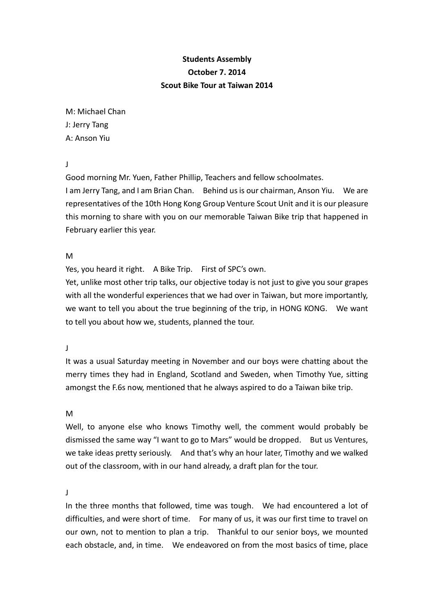## **Students Assembly October 7. 2014 Scout Bike Tour at Taiwan 2014**

M: Michael Chan J: Jerry Tang A: Anson Yiu

J

Good morning Mr. Yuen, Father Phillip, Teachers and fellow schoolmates. I am Jerry Tang, and I am Brian Chan. Behind us is our chairman, Anson Yiu. We are representatives of the 10th Hong Kong Group Venture Scout Unit and it is our pleasure this morning to share with you on our memorable Taiwan Bike trip that happened in February earlier this year.

M

Yes, you heard it right. A Bike Trip. First of SPC's own.

Yet, unlike most other trip talks, our objective today is not just to give you sour grapes with all the wonderful experiences that we had over in Taiwan, but more importantly, we want to tell you about the true beginning of the trip, in HONG KONG. We want to tell you about how we, students, planned the tour.

J

It was a usual Saturday meeting in November and our boys were chatting about the merry times they had in England, Scotland and Sweden, when Timothy Yue, sitting amongst the F.6s now, mentioned that he always aspired to do a Taiwan bike trip.

M

Well, to anyone else who knows Timothy well, the comment would probably be dismissed the same way "I want to go to Mars" would be dropped. But us Ventures, we take ideas pretty seriously. And that's why an hour later, Timothy and we walked out of the classroom, with in our hand already, a draft plan for the tour.

 $\mathbf{J}$ 

In the three months that followed, time was tough. We had encountered a lot of difficulties, and were short of time. For many of us, it was our first time to travel on our own, not to mention to plan a trip. Thankful to our senior boys, we mounted each obstacle, and, in time. We endeavored on from the most basics of time, place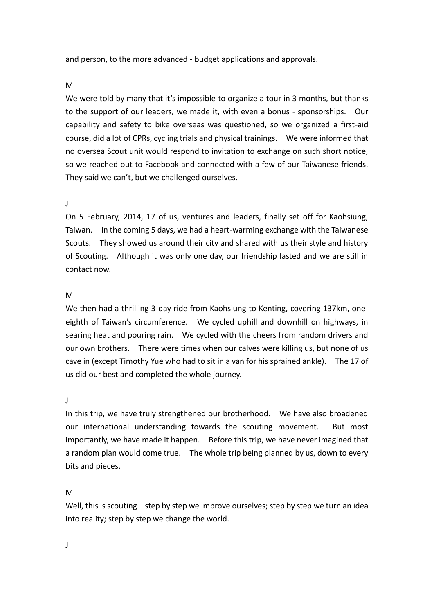and person, to the more advanced - budget applications and approvals.

M

We were told by many that it's impossible to organize a tour in 3 months, but thanks to the support of our leaders, we made it, with even a bonus - sponsorships. Our capability and safety to bike overseas was questioned, so we organized a first-aid course, did a lot of CPRs, cycling trials and physical trainings. We were informed that no oversea Scout unit would respond to invitation to exchange on such short notice, so we reached out to Facebook and connected with a few of our Taiwanese friends. They said we can't, but we challenged ourselves.

## J

On 5 February, 2014, 17 of us, ventures and leaders, finally set off for Kaohsiung, Taiwan. In the coming 5 days, we had a heart-warming exchange with the Taiwanese Scouts. They showed us around their city and shared with us their style and history of Scouting. Although it was only one day, our friendship lasted and we are still in contact now.

## M

We then had a thrilling 3-day ride from Kaohsiung to Kenting, covering 137km, oneeighth of Taiwan's circumference. We cycled uphill and downhill on highways, in searing heat and pouring rain. We cycled with the cheers from random drivers and our own brothers. There were times when our calves were killing us, but none of us cave in (except Timothy Yue who had to sit in a van for his sprained ankle). The 17 of us did our best and completed the whole journey.

J

In this trip, we have truly strengthened our brotherhood. We have also broadened our international understanding towards the scouting movement. But most importantly, we have made it happen. Before this trip, we have never imagined that a random plan would come true. The whole trip being planned by us, down to every bits and pieces.

M

Well, this is scouting – step by step we improve ourselves; step by step we turn an idea into reality; step by step we change the world.

J